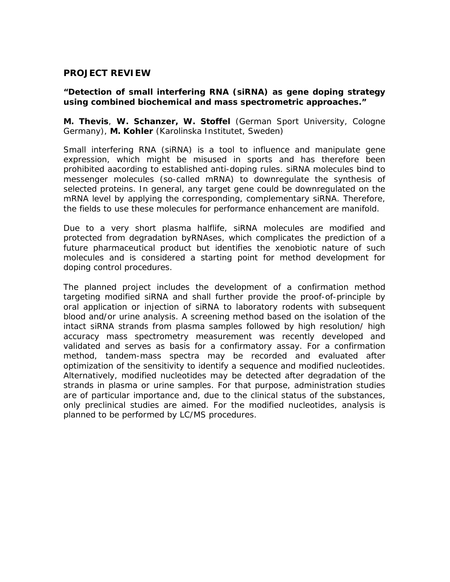## **PROJECT REVIEW**

## **"Detection of small interfering RNA (siRNA) as gene doping strategy using combined biochemical and mass spectrometric approaches."**

**M. Thevis**, **W. Schanzer, W. Stoffel** (German Sport University, Cologne Germany), **M. Kohler** (Karolinska Institutet, Sweden)

Small interfering RNA (siRNA) is a tool to influence and manipulate gene expression, which might be misused in sports and has therefore been prohibited aacording to established anti-doping rules. siRNA molecules bind to messenger molecules (so-called mRNA) to downregulate the synthesis of selected proteins. In general, any target gene could be downregulated on the mRNA level by applying the corresponding, complementary siRNA. Therefore, the fields to use these molecules for performance enhancement are manifold.

Due to a very short plasma halflife, siRNA molecules are modified and protected from degradation byRNAses, which complicates the prediction of a future pharmaceutical product but identifies the xenobiotic nature of such molecules and is considered a starting point for method development for doping control procedures.

The planned project includes the development of a confirmation method targeting modified siRNA and shall further provide the proof-of-principle by oral application or injection of siRNA to laboratory rodents with subsequent blood and/or urine analysis. A screening method based on the isolation of the intact siRNA strands from plasma samples followed by high resolution/ high accuracy mass spectrometry measurement was recently developed and validated and serves as basis for a confirmatory assay. For a confirmation method, tandem-mass spectra may be recorded and evaluated after optimization of the sensitivity to identify a sequence and modified nucleotides. Alternatively, modified nucleotides may be detected after degradation of the strands in plasma or urine samples. For that purpose, administration studies are of particular importance and, due to the clinical status of the substances, only preclinical studies are aimed. For the modified nucleotides, analysis is planned to be performed by LC/MS procedures.